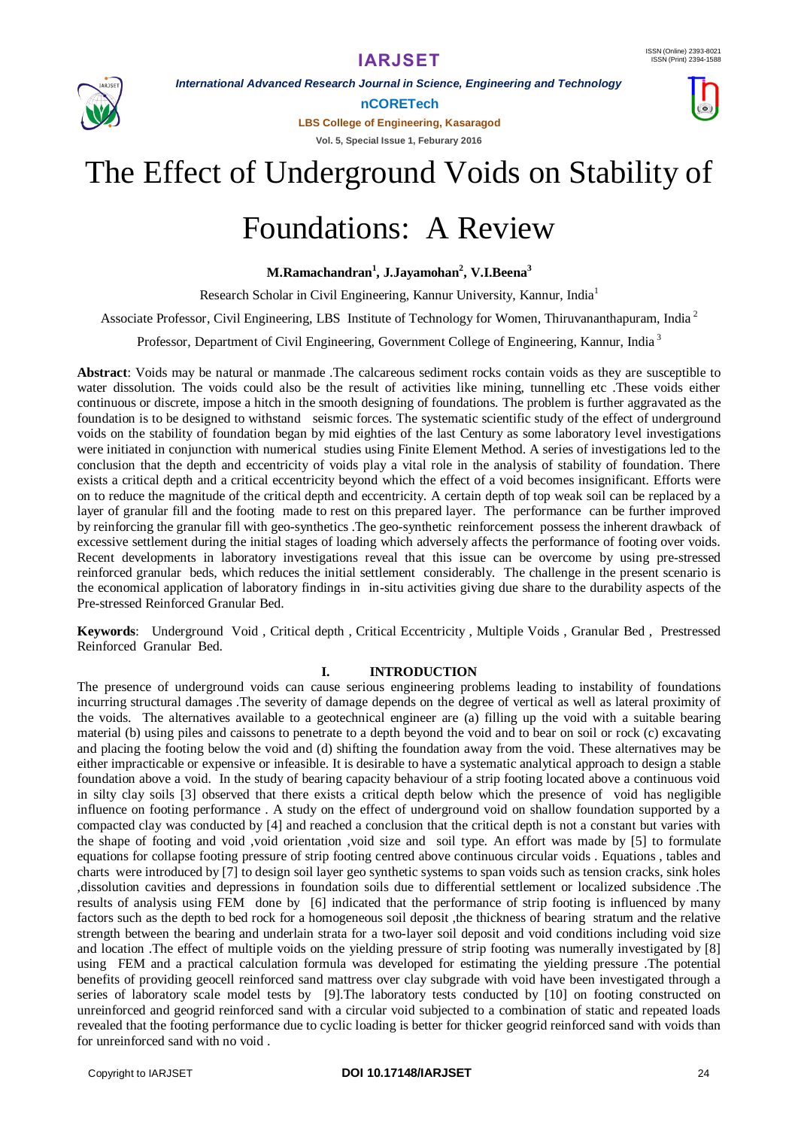

*International Advanced Research Journal in Science, Engineering and Technology*

**nCORETech**

**LBS College of Engineering, Kasaragod Vol. 5, Special Issue 1, Feburary 2016**



## The Effect of Underground Voids on Stability of

# Foundations: A Review

**M.Ramachandran<sup>1</sup> , J.Jayamohan<sup>2</sup> , V.I.Beena 3**

Research Scholar in Civil Engineering, Kannur University, Kannur, India<sup>1</sup>

Associate Professor, Civil Engineering, LBS Institute of Technology for Women, Thiruvananthapuram, India<sup>2</sup>

Professor, Department of Civil Engineering, Government College of Engineering, Kannur, India <sup>3</sup>

**Abstract**: Voids may be natural or manmade .The calcareous sediment rocks contain voids as they are susceptible to water dissolution. The voids could also be the result of activities like mining, tunnelling etc .These voids either continuous or discrete, impose a hitch in the smooth designing of foundations. The problem is further aggravated as the foundation is to be designed to withstand seismic forces. The systematic scientific study of the effect of underground voids on the stability of foundation began by mid eighties of the last Century as some laboratory level investigations were initiated in conjunction with numerical studies using Finite Element Method. A series of investigations led to the conclusion that the depth and eccentricity of voids play a vital role in the analysis of stability of foundation. There exists a critical depth and a critical eccentricity beyond which the effect of a void becomes insignificant. Efforts were on to reduce the magnitude of the critical depth and eccentricity. A certain depth of top weak soil can be replaced by a layer of granular fill and the footing made to rest on this prepared layer. The performance can be further improved by reinforcing the granular fill with geo-synthetics .The geo-synthetic reinforcement possess the inherent drawback of excessive settlement during the initial stages of loading which adversely affects the performance of footing over voids. Recent developments in laboratory investigations reveal that this issue can be overcome by using pre-stressed reinforced granular beds, which reduces the initial settlement considerably. The challenge in the present scenario is the economical application of laboratory findings in in-situ activities giving due share to the durability aspects of the Pre-stressed Reinforced Granular Bed.

**Keywords**: Underground Void , Critical depth , Critical Eccentricity , Multiple Voids , Granular Bed , Prestressed Reinforced Granular Bed.

### **I. INTRODUCTION**

The presence of underground voids can cause serious engineering problems leading to instability of foundations incurring structural damages .The severity of damage depends on the degree of vertical as well as lateral proximity of the voids. The alternatives available to a geotechnical engineer are (a) filling up the void with a suitable bearing material (b) using piles and caissons to penetrate to a depth beyond the void and to bear on soil or rock (c) excavating and placing the footing below the void and (d) shifting the foundation away from the void. These alternatives may be either impracticable or expensive or infeasible. It is desirable to have a systematic analytical approach to design a stable foundation above a void. In the study of bearing capacity behaviour of a strip footing located above a continuous void in silty clay soils [3] observed that there exists a critical depth below which the presence of void has negligible influence on footing performance . A study on the effect of underground void on shallow foundation supported by a compacted clay was conducted by [4] and reached a conclusion that the critical depth is not a constant but varies with the shape of footing and void ,void orientation ,void size and soil type. An effort was made by [5] to formulate equations for collapse footing pressure of strip footing centred above continuous circular voids . Equations , tables and charts were introduced by [7] to design soil layer geo synthetic systems to span voids such as tension cracks, sink holes ,dissolution cavities and depressions in foundation soils due to differential settlement or localized subsidence .The results of analysis using FEM done by [6] indicated that the performance of strip footing is influenced by many factors such as the depth to bed rock for a homogeneous soil deposit ,the thickness of bearing stratum and the relative strength between the bearing and underlain strata for a two-layer soil deposit and void conditions including void size and location .The effect of multiple voids on the yielding pressure of strip footing was numerally investigated by [8] using FEM and a practical calculation formula was developed for estimating the yielding pressure .The potential benefits of providing geocell reinforced sand mattress over clay subgrade with void have been investigated through a series of laboratory scale model tests by [9].The laboratory tests conducted by [10] on footing constructed on unreinforced and geogrid reinforced sand with a circular void subjected to a combination of static and repeated loads revealed that the footing performance due to cyclic loading is better for thicker geogrid reinforced sand with voids than for unreinforced sand with no void .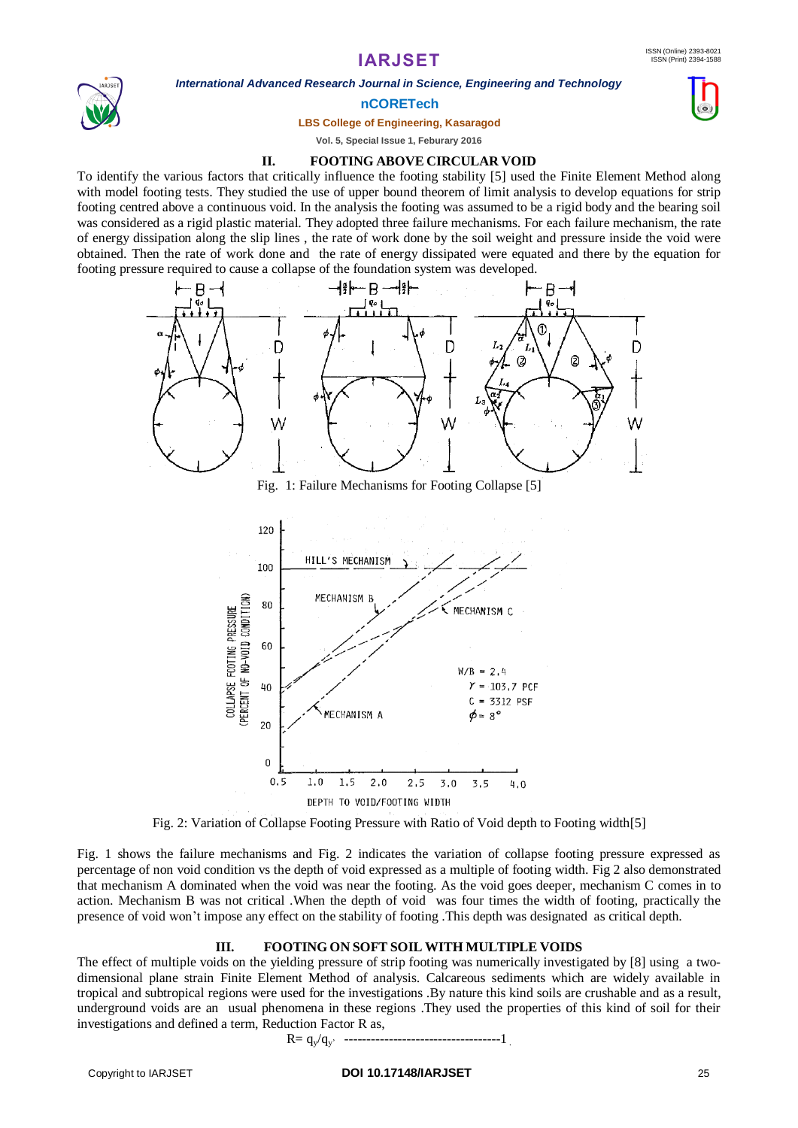*International Advanced Research Journal in Science, Engineering and Technology*



### **nCORETech**

**LBS College of Engineering, Kasaragod**

**Vol. 5, Special Issue 1, Feburary 2016**

### **II. FOOTING ABOVE CIRCULAR VOID**

To identify the various factors that critically influence the footing stability [5] used the Finite Element Method along with model footing tests. They studied the use of upper bound theorem of limit analysis to develop equations for strip footing centred above a continuous void. In the analysis the footing was assumed to be a rigid body and the bearing soil was considered as a rigid plastic material. They adopted three failure mechanisms. For each failure mechanism, the rate of energy dissipation along the slip lines , the rate of work done by the soil weight and pressure inside the void were obtained. Then the rate of work done and the rate of energy dissipated were equated and there by the equation for footing pressure required to cause a collapse of the foundation system was developed.



Fig. 1: Failure Mechanisms for Footing Collapse [5]



Fig. 2: Variation of Collapse Footing Pressure with Ratio of Void depth to Footing width[5]

Fig. 1 shows the failure mechanisms and Fig. 2 indicates the variation of collapse footing pressure expressed as percentage of non void condition vs the depth of void expressed as a multiple of footing width. Fig 2 also demonstrated that mechanism A dominated when the void was near the footing. As the void goes deeper, mechanism C comes in to action. Mechanism B was not critical .When the depth of void was four times the width of footing, practically the presence of void won't impose any effect on the stability of footing .This depth was designated as critical depth.

### **III. FOOTING ON SOFT SOIL WITH MULTIPLE VOIDS**

The effect of multiple voids on the yielding pressure of strip footing was numerically investigated by [8] using a twodimensional plane strain Finite Element Method of analysis. Calcareous sediments which are widely available in tropical and subtropical regions were used for the investigations .By nature this kind soils are crushable and as a result, underground voids are an usual phenomena in these regions .They used the properties of this kind of soil for their investigations and defined a term, Reduction Factor R as,

R= qy/qy' -----------------------------------1 .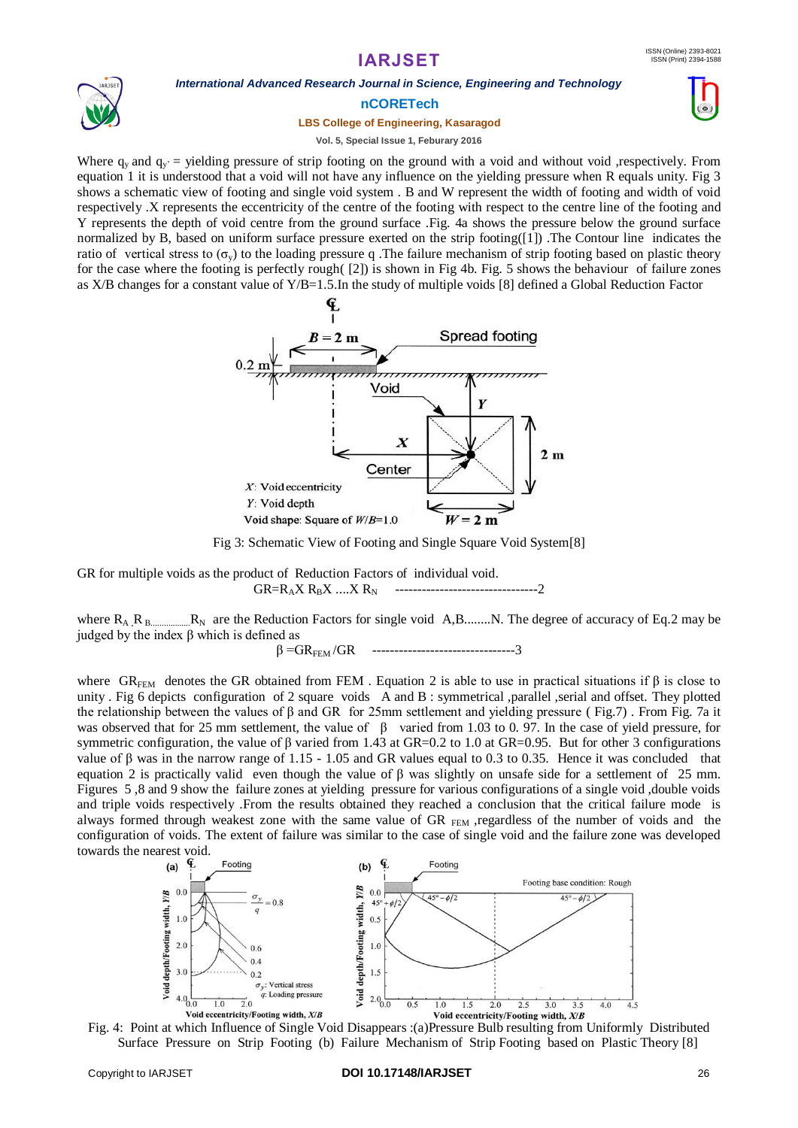

### *International Advanced Research Journal in Science, Engineering and Technology*

**nCORETech**

### **LBS College of Engineering, Kasaragod**





#### **Vol. 5, Special Issue 1, Feburary 2016**

Where  $q_v$  and  $q_v$  = yielding pressure of strip footing on the ground with a void and without void ,respectively. From equation 1 it is understood that a void will not have any influence on the yielding pressure when R equals unity. Fig 3 shows a schematic view of footing and single void system . B and W represent the width of footing and width of void respectively .X represents the eccentricity of the centre of the footing with respect to the centre line of the footing and Y represents the depth of void centre from the ground surface .Fig. 4a shows the pressure below the ground surface normalized by B, based on uniform surface pressure exerted on the strip footing([1]) .The Contour line indicates the ratio of vertical stress to ( $\sigma_{v}$ ) to the loading pressure q. The failure mechanism of strip footing based on plastic theory for the case where the footing is perfectly rough( [2]) is shown in Fig 4b. Fig. 5 shows the behaviour of failure zones as X/B changes for a constant value of Y/B=1.5.In the study of multiple voids [8] defined a Global Reduction Factor



Fig 3: Schematic View of Footing and Single Square Void System[8]

GR for multiple voids as the product of Reduction Factors of individual void. GR=RAX RBX ....X RN --------------------------------2

where RA ,RB..................RN are the Reduction Factors for single void A,B........N. The degree of accuracy of Eq.2 may be judged by the index β which is defined as

 $\beta = GR_{FEM}/GR$  ----------------------------------3

where GR<sub>FEM</sub> denotes the GR obtained from FEM . Equation 2 is able to use in practical situations if  $\beta$  is close to unity . Fig 6 depicts configuration of 2 square voids A and B : symmetrical ,parallel ,serial and offset. They plotted the relationship between the values of β and GR for 25mm settlement and yielding pressure ( Fig.7) . From Fig. 7a it was observed that for 25 mm settlement, the value of β varied from 1.03 to 0. 97. In the case of yield pressure, for symmetric configuration, the value of β varied from 1.43 at GR=0.2 to 1.0 at GR=0.95. But for other 3 configurations value of  $\beta$  was in the narrow range of 1.15 - 1.05 and GR values equal to 0.3 to 0.35. Hence it was concluded that equation 2 is practically valid even though the value of β was slightly on unsafe side for a settlement of 25 mm. Figures 5,8 and 9 show the failure zones at yielding pressure for various configurations of a single void, double voids and triple voids respectively .From the results obtained they reached a conclusion that the critical failure mode is always formed through weakest zone with the same value of GR  $_{FEM}$  ,regardless of the number of voids and the configuration of voids. The extent of failure was similar to the case of single void and the failure zone was developed towards the nearest void.



Fig. 4: Point at which Influence of Single Void Disappears :(a)Pressure Bulb resulting from Uniformly Distributed Surface Pressure on Strip Footing (b) Failure Mechanism of Strip Footing based on Plastic Theory [8]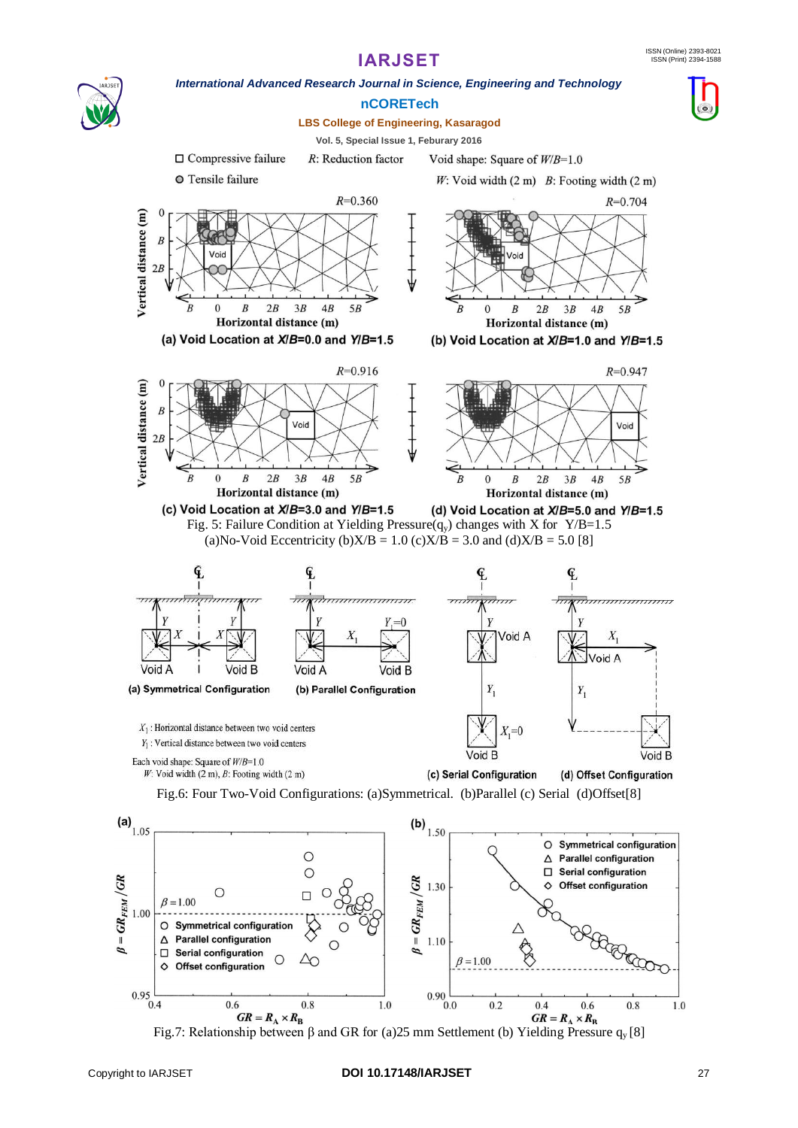

*International Advanced Research Journal in Science, Engineering and Technology*

**nCORETech**

**LBS College of Engineering, Kasaragod**



**Vol. 5, Special Issue 1, Feburary 2016**  $\Box$  Compressive failure R: Reduction factor Void shape: Square of  $W/B=1.0$ O Tensile failure W: Void width  $(2 \text{ m})$  B: Footing width  $(2 \text{ m})$  $R = 0.360$  $R = 0.704$  $\mathcal{C}$ Vertical distance (m)  $\overline{B}$ Voic  $2R$  $5B$  $\overline{0}$  $\cal B$  $2B$  $3B$  $4B$  $\bar{B}$  $\overline{0}$  $\boldsymbol{B}$  $2B$  $3B$  $4B$  $5B$ Horizontal distance (m) Horizontal distance (m) (a) Void Location at X/B=0.0 and Y/B=1.5 (b) Void Location at X/B=1.0 and Y/B=1.5  $R = 0.916$  $R = 0.947$ Vertical distance (m)  $\boldsymbol{B}$ Voic Void  $2R$  $\boldsymbol{B}$  $2B$  $3B$  $4B$  $5B$  $\overline{B}$  $\Omega$  $\bar{B}$  $\overline{B}$  $2B$  $3B$  $4B$  $5B$  $\theta$ Horizontal distance (m) Horizontal distance (m) (c) Void Location at X/B=3.0 and Y/B=1.5 (d) Void Location at  $X/B=5.0$  and  $Y/B=1.5$ Fig. 5: Failure Condition at Yielding Pressure( $q_v$ ) changes with X for Y/B=1.5 (a)No-Void Eccentricity (b) $X/B = 1.0$  (c) $X/B = 3.0$  and (d) $X/B = 5.0$  [8] F. G F minin  $\vec{m}$  $\overline{y}$  $\overline{1}$  $= 0$ Void A Void A Void B Void A Void B (a) Symmetrical Configuration (b) Parallel Configuration  $\overline{Y}$ Y,  $X_1$ : Horizontal distance between two void centers  $Y_1$ : Vertical distance between two void centers Void B Void B Each void shape: Square of  $W/B=1.0$  $W$ : Void width (2 m),  $B$ : Footing width (2 m) (c) Serial Configuration (d) Offset Configuration Fig.6: Four Two-Void Configurations: (a)Symmetrical. (b)Parallel (c) Serial (d)Offset[8] (a)  $_{1.05}$ (**b**)  $_{1.50}$ O Symmetrical configuration  $\circ$ Parallel configuration  $\triangle$  $\circ$ Serial configuration  $\Box$  $g = GR_{FEM}/GR$ 1.30 Offset configuration C  $\Box$  $\beta$  = 1.00 1.00 **BBG** O Symmetrical configuration **Parallel configuration** Δ 1.10  $\cap$ □ Serial configuration C  $\infty$  $=1.00$  $\Diamond$ Offset configuration

 $GR = R_A \times R_B$  $GR = R_A \times R_B$ Fig.7: Relationship between β and GR for (a)25 mm Settlement (b) Yielding Pressure  $q_y$  [8]

 $1.0$ 

 $0.8$ 

0.6

 $0.90$   $-$ 

 $0.2$ 

 $0.4$ 

0.6

 $0.8$ 

 $0.95C$ 

 $\beta = GR_{FEM}/GR$ 

1.0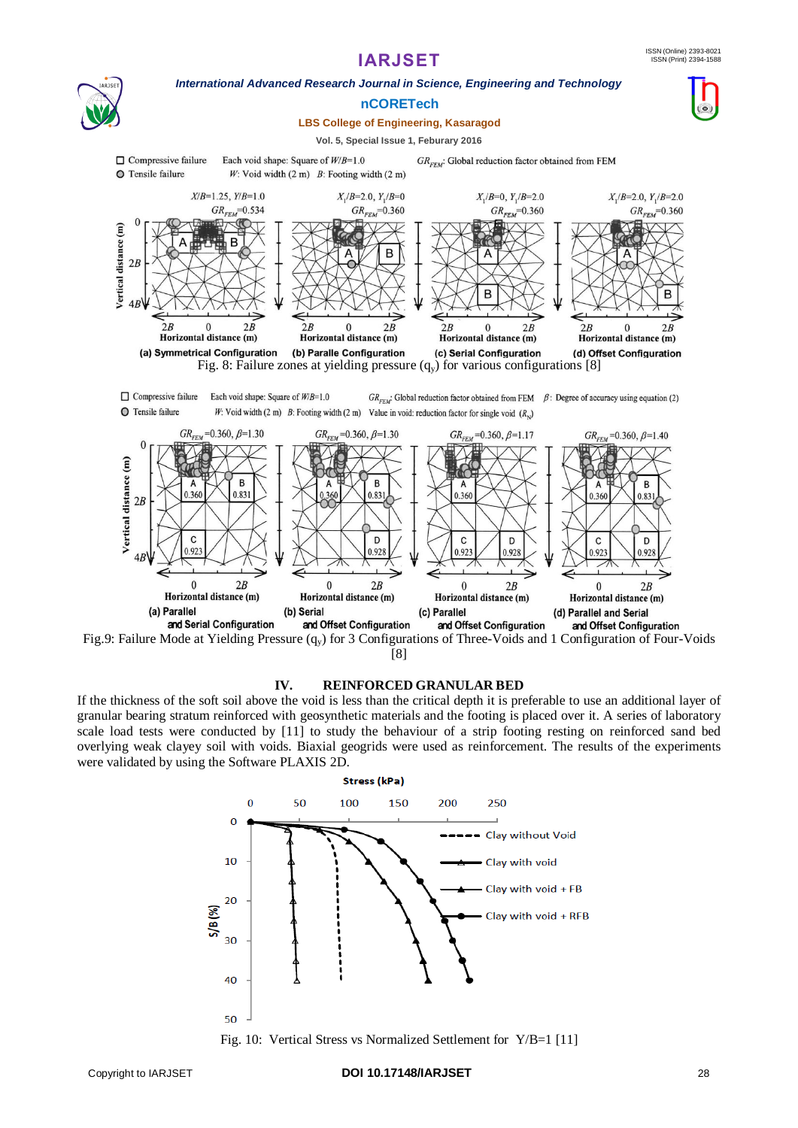



### [8]

### **IV. REINFORCED GRANULAR BED**

If the thickness of the soft soil above the void is less than the critical depth it is preferable to use an additional layer of granular bearing stratum reinforced with geosynthetic materials and the footing is placed over it. A series of laboratory scale load tests were conducted by [11] to study the behaviour of a strip footing resting on reinforced sand bed overlying weak clayey soil with voids. Biaxial geogrids were used as reinforcement. The results of the experiments were validated by using the Software PLAXIS 2D.

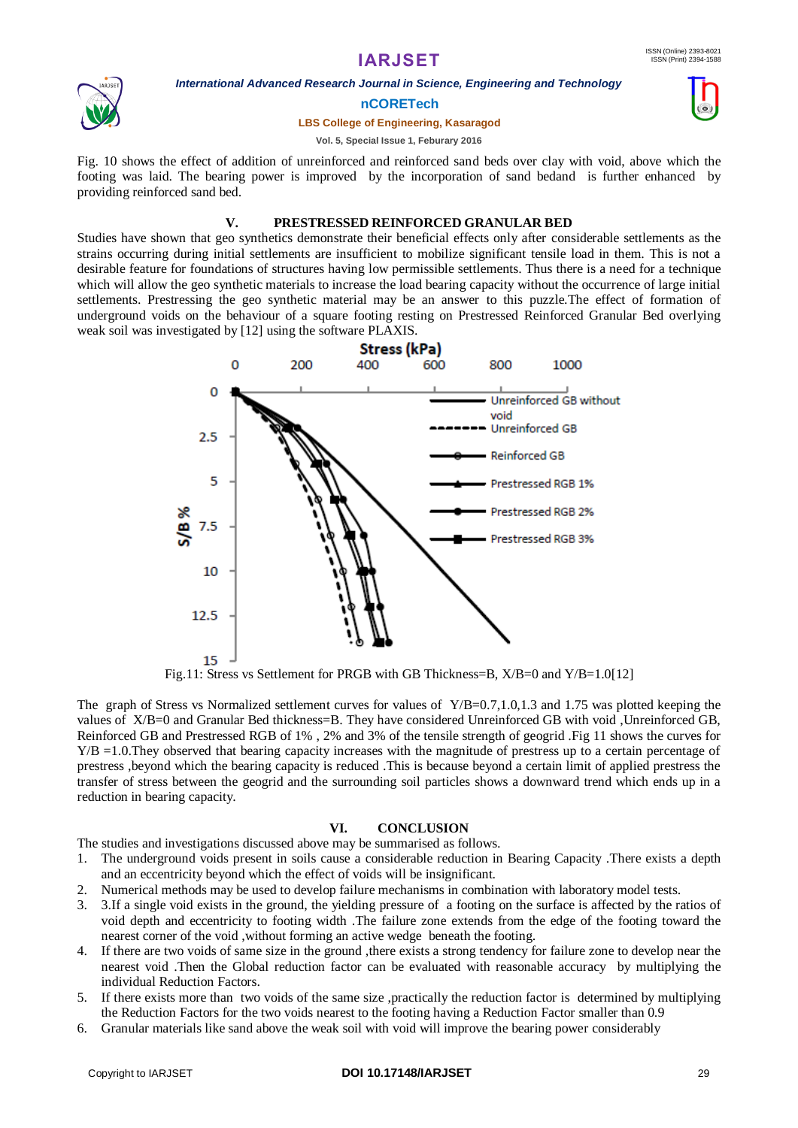

*International Advanced Research Journal in Science, Engineering and Technology*

### **nCORETech**

#### **LBS College of Engineering, Kasaragod**

### **Vol. 5, Special Issue 1, Feburary 2016**

Fig. 10 shows the effect of addition of unreinforced and reinforced sand beds over clay with void, above which the footing was laid. The bearing power is improved by the incorporation of sand bedand is further enhanced by providing reinforced sand bed.

### **V. PRESTRESSED REINFORCED GRANULAR BED**

Studies have shown that geo synthetics demonstrate their beneficial effects only after considerable settlements as the strains occurring during initial settlements are insufficient to mobilize significant tensile load in them. This is not a desirable feature for foundations of structures having low permissible settlements. Thus there is a need for a technique which will allow the geo synthetic materials to increase the load bearing capacity without the occurrence of large initial settlements. Prestressing the geo synthetic material may be an answer to this puzzle.The effect of formation of underground voids on the behaviour of a square footing resting on Prestressed Reinforced Granular Bed overlying weak soil was investigated by [12] using the software PLAXIS.



Fig.11: Stress vs Settlement for PRGB with GB Thickness=B, X/B=0 and Y/B=1.0[12]

The graph of Stress vs Normalized settlement curves for values of Y/B=0.7,1.0,1.3 and 1.75 was plotted keeping the values of X/B=0 and Granular Bed thickness=B. They have considered Unreinforced GB with void ,Unreinforced GB, Reinforced GB and Prestressed RGB of 1% , 2% and 3% of the tensile strength of geogrid .Fig 11 shows the curves for Y/B =1.0.They observed that bearing capacity increases with the magnitude of prestress up to a certain percentage of prestress ,beyond which the bearing capacity is reduced .This is because beyond a certain limit of applied prestress the transfer of stress between the geogrid and the surrounding soil particles shows a downward trend which ends up in a reduction in bearing capacity.

### **VI. CONCLUSION**

The studies and investigations discussed above may be summarised as follows.

- 1. The underground voids present in soils cause a considerable reduction in Bearing Capacity .There exists a depth and an eccentricity beyond which the effect of voids will be insignificant.
- 2. Numerical methods may be used to develop failure mechanisms in combination with laboratory model tests.
- 3. 3.If a single void exists in the ground, the yielding pressure of a footing on the surface is affected by the ratios of void depth and eccentricity to footing width .The failure zone extends from the edge of the footing toward the nearest corner of the void ,without forming an active wedge beneath the footing.
- 4. If there are two voids of same size in the ground ,there exists a strong tendency for failure zone to develop near the nearest void .Then the Global reduction factor can be evaluated with reasonable accuracy by multiplying the individual Reduction Factors.
- 5. If there exists more than two voids of the same size ,practically the reduction factor is determined by multiplying the Reduction Factors for the two voids nearest to the footing having a Reduction Factor smaller than 0.9
- 6. Granular materials like sand above the weak soil with void will improve the bearing power considerably

#### Copyright to IARJSET **DOI 10.17148/IARJSET** 29